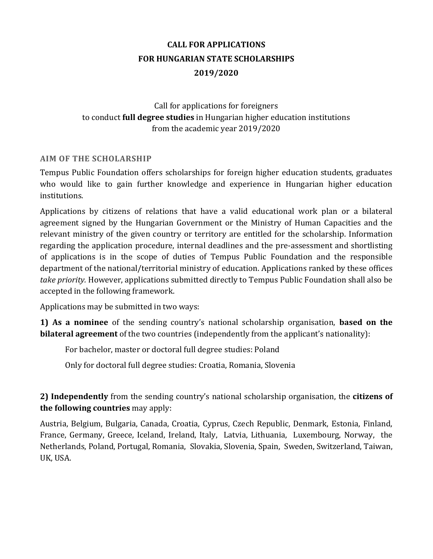# **CALL FOR APPLICATIONS FOR HUNGARIAN STATE SCHOLARSHIPS 2019/2020**

# Call for applications for foreigners to conduct **full degree studies** in Hungarian higher education institutions from the academic year 2019/2020

### **AIM OF THE SCHOLARSHIP**

Tempus Public Foundation offers scholarships for foreign higher education students, graduates who would like to gain further knowledge and experience in Hungarian higher education institutions.

Applications by citizens of relations that have a valid educational work plan or a bilateral agreement signed by the Hungarian Government or the Ministry of Human Capacities and the relevant ministry of the given country or territory are entitled for the scholarship. Information regarding the application procedure, internal deadlines and the pre-assessment and shortlisting of applications is in the scope of duties of Tempus Public Foundation and the responsible department of the national/territorial ministry of education. Applications ranked by these offices *take priority.* However, applications submitted directly to Tempus Public Foundation shall also be accepted in the following framework.

Applications may be submitted in two ways:

**1) As a nominee** of the sending country's national scholarship organisation, **based on the bilateral agreement** of the two countries (independently from the applicant's nationality):

For bachelor, master or doctoral full degree studies: Poland

Only for doctoral full degree studies: Croatia, Romania, Slovenia

**2) Independently** from the sending country's national scholarship organisation, the **citizens of the following countries** may apply:

Austria, Belgium, Bulgaria, Canada, Croatia, Cyprus, Czech Republic, Denmark, Estonia, Finland, France, Germany, Greece, Iceland, Ireland, Italy, Latvia, Lithuania, Luxembourg, Norway, the Netherlands, Poland, Portugal, Romania, Slovakia, Slovenia, Spain, Sweden, Switzerland, Taiwan, UK, USA.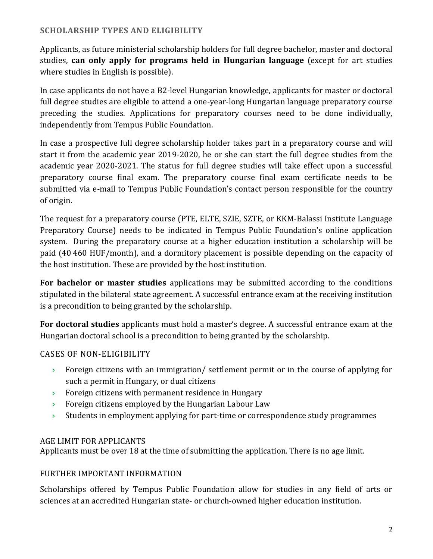# **SCHOLARSHIP TYPES AND ELIGIBILITY**

Applicants, as future ministerial scholarship holders for full degree bachelor, master and doctoral studies, **can only apply for programs held in Hungarian language** (except for art studies where studies in English is possible).

In case applicants do not have a B2-level Hungarian knowledge, applicants for master or doctoral full degree studies are eligible to attend a one-year-long Hungarian language preparatory course preceding the studies. Applications for preparatory courses need to be done individually, independently from Tempus Public Foundation.

In case a prospective full degree scholarship holder takes part in a preparatory course and will start it from the academic year 2019-2020, he or she can start the full degree studies from the academic year 2020-2021. The status for full degree studies will take effect upon a successful preparatory course final exam. The preparatory course final exam certificate needs to be submitted via e-mail to Tempus Public Foundation's contact person responsible for the country of origin.

The request for a preparatory course (PTE, ELTE, SZIE, SZTE, or KKM-Balassi Institute Language Preparatory Course) needs to be indicated in Tempus Public Foundation's online application system. During the preparatory course at a higher education institution a scholarship will be paid (40 460 HUF/month), and a dormitory placement is possible depending on the capacity of the host institution. These are provided by the host institution.

**For bachelor or master studies** applications may be submitted according to the conditions stipulated in the bilateral state agreement. A successful entrance exam at the receiving institution is a precondition to being granted by the scholarship.

**For doctoral studies** applicants must hold a master's degree. A successful entrance exam at the Hungarian doctoral school is a precondition to being granted by the scholarship.

# CASES OF NON-ELIGIBILITY

- Foreign citizens with an immigration/ settlement permit or in the course of applying for such a permit in Hungary, or dual citizens
- Foreign citizens with permanent residence in Hungary
- **Foreign citizens employed by the Hungarian Labour Law**
- Students in employment applying for part-time or correspondence study programmes

### AGE LIMIT FOR APPLICANTS

Applicants must be over 18 at the time of submitting the application. There is no age limit.

### FURTHER IMPORTANT INFORMATION

Scholarships offered by Tempus Public Foundation allow for studies in any field of arts or sciences at an accredited Hungarian state- or church-owned higher education institution.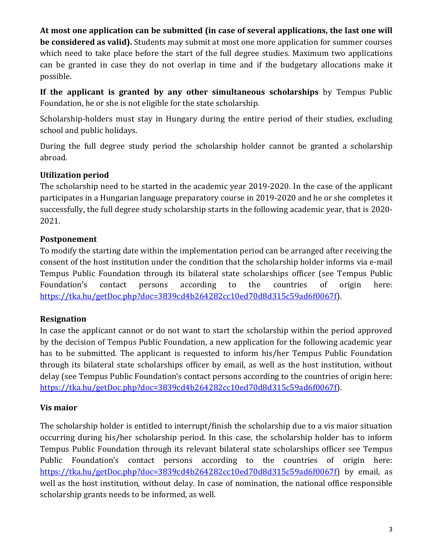**At most one application can be submitted (in case of several applications, the last one will be considered as valid).** Students may submit at most one more application for summer courses which need to take place before the start of the full degree studies. Maximum two applications can be granted in case they do not overlap in time and if the budgetary allocations make it possible.

**If the applicant is granted by any other simultaneous scholarships** by Tempus Public Foundation, he or she is not eligible for the state scholarship.

Scholarship-holders must stay in Hungary during the entire period of their studies, excluding school and public holidays.

During the full degree study period the scholarship holder cannot be granted a scholarship abroad.

### **Utilization period**

The scholarship need to be started in the academic year 2019-2020. In the case of the applicant participates in a Hungarian language preparatory course in 2019-2020 and he or she completes it successfully, the full degree study scholarship starts in the following academic year, that is 2020- 2021.

# **Postponement**

To modify the starting date within the implementation period can be arranged after receiving the consent of the host institution under the condition that the scholarship holder informs via e-mail Tempus Public Foundation through its bilateral state scholarships officer (see Tempus Public Foundation's contact persons according to the countries of origin here: [https://tka.hu/getDoc.php?doc=3839cd4b264282cc10ed70d8d315c59ad6f0067f\)](https://tka.hu/getDoc.php?doc=3839cd4b264282cc10ed70d8d315c59ad6f0067f).

# **Resignation**

In case the applicant cannot or do not want to start the scholarship within the period approved by the decision of Tempus Public Foundation, a new application for the following academic year has to be submitted. The applicant is requested to inform his/her Tempus Public Foundation through its bilateral state scholarships officer by email, as well as the host institution, without delay (see Tempus Public Foundation's contact persons according to the countries of origin here: [https://tka.hu/getDoc.php?doc=3839cd4b264282cc10ed70d8d315c59ad6f0067f\)](https://tka.hu/getDoc.php?doc=3839cd4b264282cc10ed70d8d315c59ad6f0067f).

# **Vis maior**

The scholarship holder is entitled to interrupt/finish the scholarship due to a vis maior situation occurring during his/her scholarship period. In this case, the scholarship holder has to inform Tempus Public Foundation through its relevant bilateral state scholarships officer see Tempus Public Foundation's contact persons according to the countries of origin here: [https://tka.hu/getDoc.php?doc=3839cd4b264282cc10ed70d8d315c59ad6f0067f\)](https://tka.hu/getDoc.php?doc=3839cd4b264282cc10ed70d8d315c59ad6f0067f) by email, as well as the host institution, without delay. In case of nomination, the national office responsible scholarship grants needs to be informed, as well.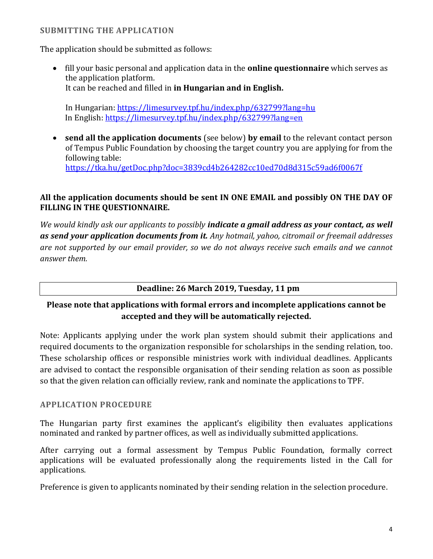### **SUBMITTING THE APPLICATION**

The application should be submitted as follows:

 fill your basic personal and application data in the **online questionnaire** which serves as the application platform. It can be reached and filled in **in Hungarian and in English.**

In Hungarian:<https://limesurvey.tpf.hu/index.php/632799?lang=hu> In English: <https://limesurvey.tpf.hu/index.php/632799?lang=en>

 **send all the application documents** (see below) **by email** to the relevant contact person of Tempus Public Foundation by choosing the target country you are applying for from the following table: <https://tka.hu/getDoc.php?doc=3839cd4b264282cc10ed70d8d315c59ad6f0067f>

### **All the application documents should be sent IN ONE EMAIL and possibly ON THE DAY OF FILLING IN THE QUESTIONNAIRE.**

*We would kindly ask our applicants to possibly indicate a gmail address as your contact, as well as send your application documents from it. Any hotmail, yahoo, citromail or freemail addresses are not supported by our email provider, so we do not always receive such emails and we cannot answer them.*

#### **Deadline: 26 March 2019, Tuesday, 11 pm**

# **Please note that applications with formal errors and incomplete applications cannot be accepted and they will be automatically rejected.**

Note: Applicants applying under the work plan system should submit their applications and required documents to the organization responsible for scholarships in the sending relation, too. These scholarship offices or responsible ministries work with individual deadlines. Applicants are advised to contact the responsible organisation of their sending relation as soon as possible so that the given relation can officially review, rank and nominate the applications to TPF.

### **APPLICATION PROCEDURE**

The Hungarian party first examines the applicant's eligibility then evaluates applications nominated and ranked by partner offices, as well as individually submitted applications.

After carrying out a formal assessment by Tempus Public Foundation, formally correct applications will be evaluated professionally along the requirements listed in the Call for applications.

Preference is given to applicants nominated by their sending relation in the selection procedure.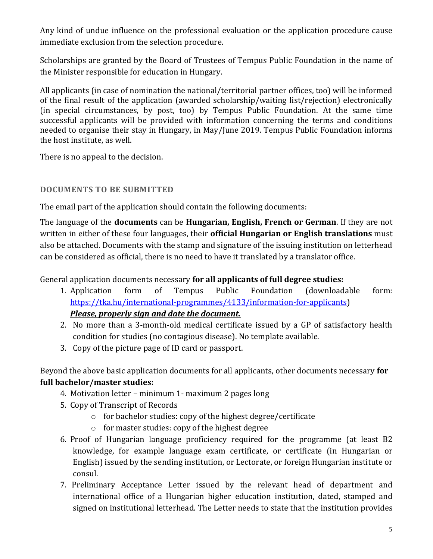Any kind of undue influence on the professional evaluation or the application procedure cause immediate exclusion from the selection procedure.

Scholarships are granted by the Board of Trustees of Tempus Public Foundation in the name of the Minister responsible for education in Hungary.

All applicants (in case of nomination the national/territorial partner offices, too) will be informed of the final result of the application (awarded scholarship/waiting list/rejection) electronically (in special circumstances, by post, too) by Tempus Public Foundation. At the same time successful applicants will be provided with information concerning the terms and conditions needed to organise their stay in Hungary, in May/June 2019. Tempus Public Foundation informs the host institute, as well.

There is no appeal to the decision.

# **DOCUMENTS TO BE SUBMITTED**

The email part of the application should contain the following documents:

The language of the **documents** can be **Hungarian, English, French or German**. If they are not written in either of these four languages, their **official Hungarian or English translations** must also be attached. Documents with the stamp and signature of the issuing institution on letterhead can be considered as official, there is no need to have it translated by a translator office.

General application documents necessary **for all applicants of full degree studies:**

- 1. Application form of Tempus Public Foundation (downloadable form: [https://tka.hu/international-programmes/4133/information-for-applicants\)](https://tka.hu/international-programmes/4133/information-for-applicants) *Please, properly sign and date the document.*
- 2. No more than a 3-month-old medical certificate issued by a GP of satisfactory health condition for studies (no contagious disease). No template available.
- 3. Copy of the picture page of ID card or passport.

Beyond the above basic application documents for all applicants, other documents necessary **for full bachelor/master studies:**

- 4. Motivation letter minimum 1- maximum 2 pages long
- 5. Copy of Transcript of Records
	- o for bachelor studies: copy of the highest degree/certificate
	- o for master studies: copy of the highest degree
- 6. Proof of Hungarian language proficiency required for the programme (at least B2 knowledge, for example language exam certificate, or certificate (in Hungarian or English) issued by the sending institution, or Lectorate, or foreign Hungarian institute or consul.
- 7. Preliminary Acceptance Letter issued by the relevant head of department and international office of a Hungarian higher education institution, dated, stamped and signed on institutional letterhead. The Letter needs to state that the institution provides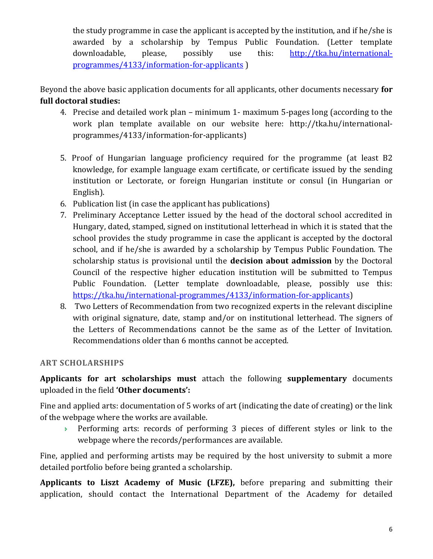the study programme in case the applicant is accepted by the institution, and if he/she is awarded by a scholarship by Tempus Public Foundation. (Letter template downloadable, please, possibly use this: [http://tka.hu/international](http://tka.hu/international-programmes/4133/information-for-applicants)[programmes/4133/information-for-applicants](http://tka.hu/international-programmes/4133/information-for-applicants) )

Beyond the above basic application documents for all applicants, other documents necessary **for full doctoral studies:**

- 4. Precise and detailed work plan minimum 1- maximum 5-pages long (according to the work plan template available on our website here: http://tka.hu/internationalprogrammes/4133/information-for-applicants)
- 5. Proof of Hungarian language proficiency required for the programme (at least B2 knowledge, for example language exam certificate, or certificate issued by the sending institution or Lectorate, or foreign Hungarian institute or consul (in Hungarian or English).
- 6. Publication list (in case the applicant has publications)
- 7. Preliminary Acceptance Letter issued by the head of the doctoral school accredited in Hungary, dated, stamped, signed on institutional letterhead in which it is stated that the school provides the study programme in case the applicant is accepted by the doctoral school, and if he/she is awarded by a scholarship by Tempus Public Foundation. The scholarship status is provisional until the **decision about admission** by the Doctoral Council of the respective higher education institution will be submitted to Tempus Public Foundation. (Letter template downloadable, please, possibly use this: [https://tka.hu/international-programmes/4133/information-for-applicants\)](https://tka.hu/international-programmes/4133/information-for-applicants)
- 8. Two Letters of Recommendation from two recognized experts in the relevant discipline with original signature, date, stamp and/or on institutional letterhead. The signers of the Letters of Recommendations cannot be the same as of the Letter of Invitation. Recommendations older than 6 months cannot be accepted.

# **ART SCHOLARSHIPS**

**Applicants for art scholarships must** attach the following **supplementary** documents uploaded in the field **'Other documents':** 

Fine and applied arts: documentation of 5 works of art (indicating the date of creating) or the link of the webpage where the works are available.

 Performing arts: records of performing 3 pieces of different styles or link to the webpage where the records/performances are available.

Fine, applied and performing artists may be required by the host university to submit a more detailed portfolio before being granted a scholarship.

**Applicants to Liszt Academy of Music (LFZE),** before preparing and submitting their application, should contact the International Department of the Academy for detailed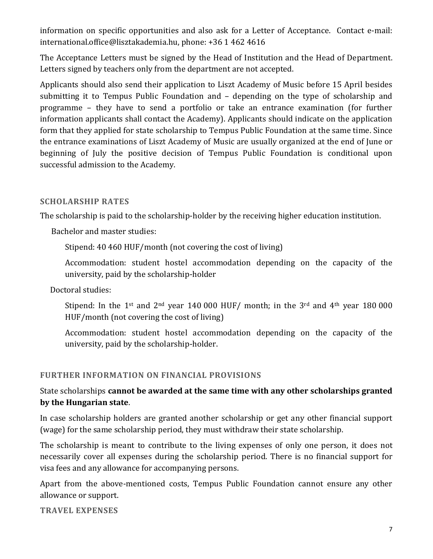information on specific opportunities and also ask for a Letter of Acceptance. Contact e-mail: [international.office@lisztakademia.hu,](mailto:international.office@lisztakademia.hu) phone: +36 1 462 4616

The Acceptance Letters must be signed by the Head of Institution and the Head of Department. Letters signed by teachers only from the department are not accepted.

Applicants should also send their application to Liszt Academy of Music before 15 April besides submitting it to Tempus Public Foundation and – depending on the type of scholarship and programme – they have to send a portfolio or take an entrance examination (for further information applicants shall contact the Academy). Applicants should indicate on the application form that they applied for state scholarship to Tempus Public Foundation at the same time. Since the entrance examinations of Liszt Academy of Music are usually organized at the end of June or beginning of July the positive decision of Tempus Public Foundation is conditional upon successful admission to the Academy.

### **SCHOLARSHIP RATES**

The scholarship is paid to the scholarship-holder by the receiving higher education institution.

Bachelor and master studies:

Stipend: 40 460 HUF/month (not covering the cost of living)

Accommodation: student hostel accommodation depending on the capacity of the university, paid by the scholarship-holder

Doctoral studies:

Stipend: In the 1<sup>st</sup> and 2<sup>nd</sup> year 140 000 HUF/ month; in the 3<sup>rd</sup> and 4<sup>th</sup> year 180 000 HUF/month (not covering the cost of living)

Accommodation: student hostel accommodation depending on the capacity of the university, paid by the scholarship-holder.

#### **FURTHER INFORMATION ON FINANCIAL PROVISIONS**

# State scholarships **cannot be awarded at the same time with any other scholarships granted by the Hungarian state**.

In case scholarship holders are granted another scholarship or get any other financial support (wage) for the same scholarship period, they must withdraw their state scholarship.

The scholarship is meant to contribute to the living expenses of only one person, it does not necessarily cover all expenses during the scholarship period. There is no financial support for visa fees and any allowance for accompanying persons.

Apart from the above-mentioned costs, Tempus Public Foundation cannot ensure any other allowance or support.

**TRAVEL EXPENSES**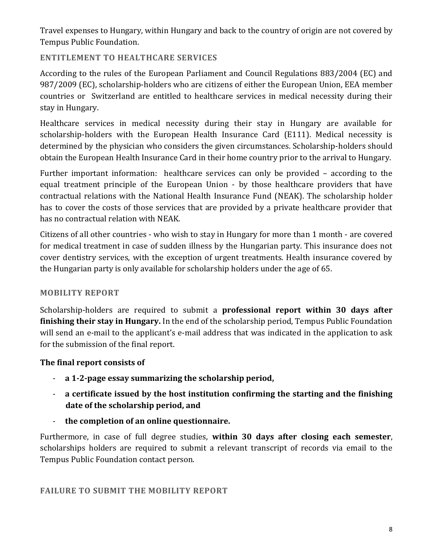Travel expenses to Hungary, within Hungary and back to the country of origin are not covered by Tempus Public Foundation.

### **ENTITLEMENT TO HEALTHCARE SERVICES**

According to the rules of the European Parliament and Council Regulations 883/2004 (EC) and 987/2009 (EC), scholarship-holders who are citizens of either the European Union, EEA member countries or Switzerland are entitled to healthcare services in medical necessity during their stay in Hungary.

Healthcare services in medical necessity during their stay in Hungary are available for scholarship-holders with the European Health Insurance Card (E111). Medical necessity is determined by the physician who considers the given circumstances. Scholarship-holders should obtain the European Health Insurance Card in their home country prior to the arrival to Hungary.

Further important information: healthcare services can only be provided – according to the equal treatment principle of the European Union - by those healthcare providers that have contractual relations with the National Health Insurance Fund (NEAK). The scholarship holder has to cover the costs of those services that are provided by a private healthcare provider that has no contractual relation with NEAK.

Citizens of all other countries - who wish to stay in Hungary for more than 1 month - are covered for medical treatment in case of sudden illness by the Hungarian party. This insurance does not cover dentistry services, with the exception of urgent treatments. Health insurance covered by the Hungarian party is only available for scholarship holders under the age of 65.

# **MOBILITY REPORT**

Scholarship-holders are required to submit a **professional report within 30 days after finishing their stay in Hungary.** In the end of the scholarship period, Tempus Public Foundation will send an e-mail to the applicant's e-mail address that was indicated in the application to ask for the submission of the final report.

# **The final report consists of**

- **a 1-2-page essay summarizing the scholarship period,**
- **a certificate issued by the host institution confirming the starting and the finishing date of the scholarship period, and**
- **the completion of an online questionnaire.**

Furthermore, in case of full degree studies, **within 30 days after closing each semester**, scholarships holders are required to submit a relevant transcript of records via email to the Tempus Public Foundation contact person.

**FAILURE TO SUBMIT THE MOBILITY REPORT**